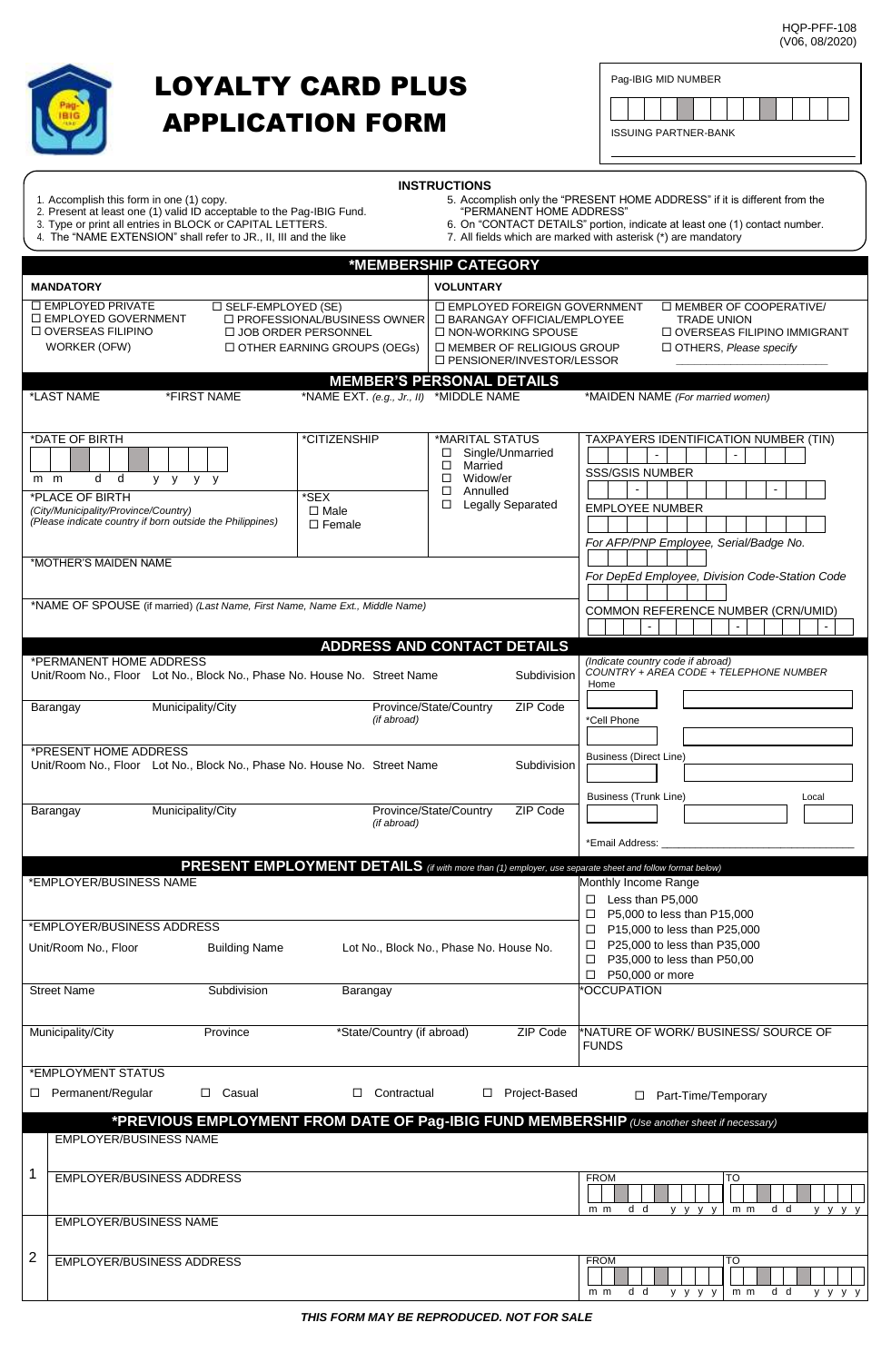HQP-PFF-108 (V06, 08/2020)



## LOYALTY CARD PLUS APPLICATION FORM

|--|--|--|--|--|--|--|--|--|--|--|--|--|--|

| <b>INSTRUCTIONS</b> |
|---------------------|
|---------------------|

- 
- 2. Present at least one (1) valid ID acceptable to the Pag-IBIG Fund. "PERMANENT HOME ADDRESS"
- 
- 4. The "NAME EXTENSION" shall refer to JR., II, III and the like 7. All fields which are marked with asterisk (\*) are mandatory
- 1. Accomplish this form in one (1) copy. The state of the state of the "Same S. Accomplish only the "PRESENT HOME ADDRESS" if it is different from the 3. Necessary or print all entries in BLOCK or principles in BLOCK or "CONTACT HOME ADDRESS"<br>6. On "CONTACT DETAILS" portion, indicate at least one (1) contact number.<br>7. All fields which are marked with asterisk (\*) are ma
	-

| *MEMBERSHIP CATEGORY                                                                                                                                                                                                                                                   |                                                                                                                                                                  |                                                                                                                                                   |
|------------------------------------------------------------------------------------------------------------------------------------------------------------------------------------------------------------------------------------------------------------------------|------------------------------------------------------------------------------------------------------------------------------------------------------------------|---------------------------------------------------------------------------------------------------------------------------------------------------|
| <b>VOLUNTARY</b><br><b>MANDATORY</b>                                                                                                                                                                                                                                   |                                                                                                                                                                  |                                                                                                                                                   |
| <b>LI EMPLOYED PRIVATE</b><br>□ SELF-EMPLOYED (SE)<br>□ EMPLOYED GOVERNMENT<br>$\Box$ PROFESSIONAL/BUSINESS OWNER<br>□ OVERSEAS FILIPINO<br>□ JOB ORDER PERSONNEL<br><b>WORKER (OFW)</b><br><b>DOTHER EARNING GROUPS (OEGS)</b>                                        | <b>ID EMPLOYED FOREIGN GOVERNMENT</b><br>□ BARANGAY OFFICIAL/EMPLOYEE<br>$\Box$ NON-WORKING SPOUSE<br>□ MEMBER OF RELIGIOUS GROUP<br>□ PENSIONER/INVESTOR/LESSOR | □ MEMBER OF COOPERATIVE/<br><b>TRADE UNION</b><br>□ OVERSEAS FILIPINO IMMIGRANT<br>$\Box$ OTHERS, Please specify                                  |
| <b>MEMBER'S PERSONAL DETAILS</b>                                                                                                                                                                                                                                       |                                                                                                                                                                  |                                                                                                                                                   |
| *FIRST NAME<br>*NAME EXT. (e.g., Jr., II) *MIDDLE NAME<br>*LAST NAME                                                                                                                                                                                                   |                                                                                                                                                                  | *MAIDEN NAME (For married women)                                                                                                                  |
| *DATE OF BIRTH<br>*CITIZENSHIP<br>$\Box$<br>□<br>d d<br>$\Box$<br>$m$ $m$<br>y y y y<br>$\Box$<br>*PLACE OF BIRTH<br>$*$ SEX<br>□<br>(City/Municipality/Province/Country)<br>$\Box$ Male<br>(Please indicate country if born outside the Philippines)<br>$\Box$ Female | *MARITAL STATUS<br>Single/Unmarried<br>Married<br>Widow/er<br>Annulled<br><b>Legally Separated</b>                                                               | TAXPAYERS IDENTIFICATION NUMBER (TIN)<br><b>SSS/GSIS NUMBER</b><br><b>EMPLOYEE NUMBER</b><br>For AFP/PNP Employee, Serial/Badge No.               |
| *MOTHER'S MAIDEN NAME                                                                                                                                                                                                                                                  |                                                                                                                                                                  | For DepEd Employee, Division Code-Station Code                                                                                                    |
| *NAME OF SPOUSE (if married) (Last Name, First Name, Name Ext., Middle Name)                                                                                                                                                                                           |                                                                                                                                                                  | COMMON REFERENCE NUMBER (CRN/UMID)<br>$\blacksquare$                                                                                              |
| <b>ADDRESS AND CONTACT DETAILS</b><br>*PERMANENT HOME ADDRESS<br>Unit/Room No., Floor Lot No., Block No., Phase No. House No. Street Name                                                                                                                              | Subdivision                                                                                                                                                      | (Indicate country code if abroad)<br>COUNTRY + AREA CODE + TELEPHONE NUMBER<br>Home                                                               |
| Municipality/City<br>Province/State/Country<br>Barangay<br>(if abroad)                                                                                                                                                                                                 | ZIP Code                                                                                                                                                         | *Cell Phone                                                                                                                                       |
| *PRESENT HOME ADDRESS<br>Unit/Room No., Floor Lot No., Block No., Phase No. House No. Street Name                                                                                                                                                                      | Subdivision                                                                                                                                                      | <b>Business (Direct Line)</b>                                                                                                                     |
| Municipality/City<br>Province/State/Country<br>Barangay<br>(if abroad)                                                                                                                                                                                                 | ZIP Code                                                                                                                                                         | <b>Business (Trunk Line)</b><br>Local                                                                                                             |
|                                                                                                                                                                                                                                                                        |                                                                                                                                                                  | *Email Address:                                                                                                                                   |
| PRESENT EMPLOYMENT DETAILS (if with more than (1) employer, use separate sheet and follow format below)<br>*EMPLOYER/BUSINESS NAME                                                                                                                                     |                                                                                                                                                                  | Monthly Income Range<br>$\Box$ Less than P5,000<br>□<br>P5,000 to less than P15,000                                                               |
| *EMPLOYER/BUSINESS ADDRESS<br>Unit/Room No., Floor<br><b>Building Name</b><br>Lot No., Block No., Phase No. House No.                                                                                                                                                  |                                                                                                                                                                  | P15,000 to less than P25,000<br>$\Box$<br>P25,000 to less than P35,000<br>$\Box$<br>P35,000 to less than P50,00<br>□<br>P50,000 or more<br>$\Box$ |
| Subdivision<br><b>Street Name</b><br>Barangay                                                                                                                                                                                                                          |                                                                                                                                                                  | OCCUPATION <sup>*</sup>                                                                                                                           |
| Municipality/City<br>*State/Country (if abroad)<br>Province                                                                                                                                                                                                            | ZIP Code                                                                                                                                                         | *NATURE OF WORK/ BUSINESS/ SOURCE OF<br><b>FUNDS</b>                                                                                              |
| *EMPLOYMENT STATUS                                                                                                                                                                                                                                                     |                                                                                                                                                                  |                                                                                                                                                   |
| □ Permanent/Regular<br>$\Box$ Casual<br>□ Contractual                                                                                                                                                                                                                  | Project-Based<br>$\Box$                                                                                                                                          | □ Part-Time/Temporary                                                                                                                             |
| *PREVIOUS EMPLOYMENT FROM DATE OF Pag-IBIG FUND MEMBERSHIP (Use another sheet if necessary)                                                                                                                                                                            |                                                                                                                                                                  |                                                                                                                                                   |
| <b>EMPLOYER/BUSINESS NAME</b>                                                                                                                                                                                                                                          |                                                                                                                                                                  |                                                                                                                                                   |
| EMPLOYER/BUSINESS ADDRESS                                                                                                                                                                                                                                              |                                                                                                                                                                  | <b>FROM</b><br>$\overline{10}$<br>d d<br>d d<br>y y y y<br>$m$ $m$<br>y y y y<br>m m                                                              |
| <b>EMPLOYER/BUSINESS NAME</b>                                                                                                                                                                                                                                          |                                                                                                                                                                  |                                                                                                                                                   |
| 2<br>EMPLOYER/BUSINESS ADDRESS                                                                                                                                                                                                                                         |                                                                                                                                                                  | TO<br><b>FROM</b><br>d d<br>d d<br>y y y y<br>m m<br>m m                                                                                          |
|                                                                                                                                                                                                                                                                        |                                                                                                                                                                  | y y y y                                                                                                                                           |